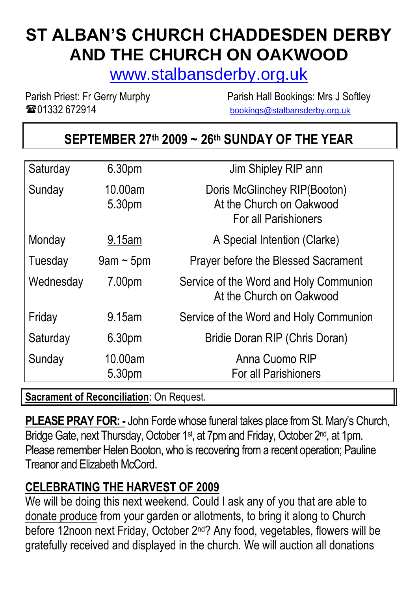# **ST ALBAN'S CHURCH CHADDESDEN DERBY AND THE CHURCH ON OAKWOOD**

[www.stalbansderby.org.uk](http://www.stalbansderby.org.uk/)

**TO 201332 672914** [bookings@stalbansderby.org.uk](mailto:bookings@stalbansderby.org.uk)

Parish Priest: Fr Gerry Murphy Parish Hall Bookings: Mrs J Softley

 $\mathsf{l}\mathsf{l}$ 

# **SEPTEMBER 27th 2009 ~ 26th SUNDAY OF THE YEAR**

| Saturday  | 6.30pm            | Jim Shipley RIP ann                                                                     |
|-----------|-------------------|-----------------------------------------------------------------------------------------|
| Sunday    | 10.00am<br>5.30pm | Doris McGlinchey RIP(Booton)<br>At the Church on Oakwood<br><b>For all Parishioners</b> |
| Monday    | 9.15am            | A Special Intention (Clarke)                                                            |
| Tuesday   | $9$ am ~ $5$ pm   | <b>Prayer before the Blessed Sacrament</b>                                              |
| Wednesday | 7.00pm            | Service of the Word and Holy Communion<br>At the Church on Oakwood                      |
| Friday    | 9.15am            | Service of the Word and Holy Communion                                                  |
| Saturday  | 6.30pm            | Bridie Doran RIP (Chris Doran)                                                          |
| Sunday    | 10.00am<br>5.30pm | Anna Cuomo RIP<br>For all Parishioners                                                  |
|           |                   |                                                                                         |

**Sacrament of Reconciliation**: On Request.

**PLEASE PRAY FOR: -** John Forde whose funeral takes place from St. Mary's Church, Bridge Gate, next Thursday, October 1<sup>st</sup>, at 7pm and Friday, October 2<sup>nd</sup>, at 1pm. Please remember Helen Booton, who is recovering from a recent operation; Pauline Treanor and Elizabeth McCord.

#### **CELEBRATING THE HARVEST OF 2009**

We will be doing this next weekend. Could I ask any of you that are able to donate produce from your garden or allotments, to bring it along to Church before 12noon next Friday, October 2<sup>nd</sup>? Any food, vegetables, flowers will be gratefully received and displayed in the church. We will auction all donations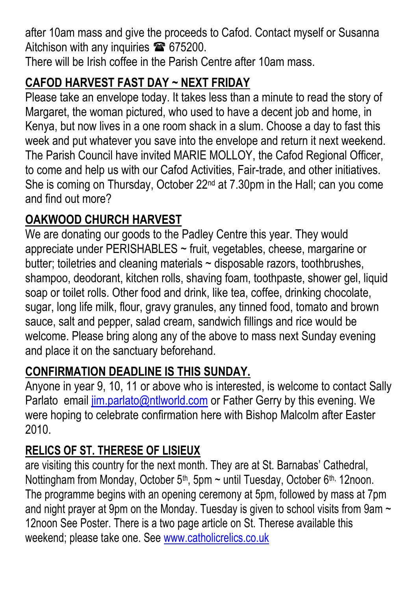after 10am mass and give the proceeds to Cafod. Contact myself or Susanna Aitchison with any inquiries <sup>2</sup>675200.

There will be Irish coffee in the Parish Centre after 10am mass.

### **CAFOD HARVEST FAST DAY ~ NEXT FRIDAY**

Please take an envelope today. It takes less than a minute to read the story of Margaret, the woman pictured, who used to have a decent job and home, in Kenya, but now lives in a one room shack in a slum. Choose a day to fast this week and put whatever you save into the envelope and return it next weekend. The Parish Council have invited MARIE MOLLOY, the Cafod Regional Officer, to come and help us with our Cafod Activities, Fair-trade, and other initiatives. She is coming on Thursday, October 22nd at 7.30pm in the Hall; can you come and find out more?

#### **OAKWOOD CHURCH HARVEST**

We are donating our goods to the Padley Centre this year. They would appreciate under PERISHABLES ~ fruit, vegetables, cheese, margarine or butter; toiletries and cleaning materials  $\sim$  disposable razors, toothbrushes, shampoo, deodorant, kitchen rolls, shaving foam, toothpaste, shower gel, liquid soap or toilet rolls. Other food and drink, like tea, coffee, drinking chocolate, sugar, long life milk, flour, gravy granules, any tinned food, tomato and brown sauce, salt and pepper, salad cream, sandwich fillings and rice would be welcome. Please bring along any of the above to mass next Sunday evening and place it on the sanctuary beforehand.

#### **CONFIRMATION DEADLINE IS THIS SUNDAY.**

Anyone in year 9, 10, 11 or above who is interested, is welcome to contact Sally Parlato email [jim.parlato@ntlworld.com](mailto:jim.parlato@ntlworld.com) or Father Gerry by this evening. We were hoping to celebrate confirmation here with Bishop Malcolm after Easter 2010.

#### **RELICS OF ST. THERESE OF LISIEUX**

are visiting this country for the next month. They are at St. Barnabas' Cathedral, Nottingham from Monday, October 5<sup>th</sup>, 5pm  $\sim$  until Tuesday, October 6<sup>th,</sup> 12noon. The programme begins with an opening ceremony at 5pm, followed by mass at 7pm and night prayer at 9pm on the Monday. Tuesday is given to school visits from 9am  $\sim$ 12noon See Poster. There is a two page article on St. Therese available this weekend; please take one. See [www.catholicrelics.co.uk](http://www.catholicrelics.co.uk/)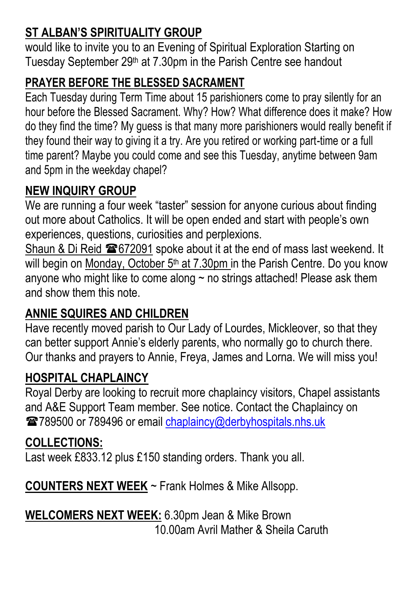## **ST ALBAN'S SPIRITUALITY GROUP**

would like to invite you to an Evening of Spiritual Exploration Starting on Tuesday September 29th at 7.30pm in the Parish Centre see handout

#### **PRAYER BEFORE THE BLESSED SACRAMENT**

Each Tuesday during Term Time about 15 parishioners come to pray silently for an hour before the Blessed Sacrament. Why? How? What difference does it make? How do they find the time? My guess is that many more parishioners would really benefit if they found their way to giving it a try. Are you retired or working part-time or a full time parent? Maybe you could come and see this Tuesday, anytime between 9am and 5pm in the weekday chapel?

### **NEW INQUIRY GROUP**

We are running a four week "taster" session for anyone curious about finding out more about Catholics. It will be open ended and start with people's own experiences, questions, curiosities and perplexions.

Shaun & Di Reid  $\approx 672091$  spoke about it at the end of mass last weekend. It will begin on Monday, October 5<sup>th</sup> at 7.30pm in the Parish Centre. Do you know anyone who might like to come along  $\sim$  no strings attached! Please ask them and show them this note.

# **ANNIE SQUIRES AND CHILDREN**

Have recently moved parish to Our Lady of Lourdes, Mickleover, so that they can better support Annie's elderly parents, who normally go to church there. Our thanks and prayers to Annie, Freya, James and Lorna. We will miss you!

### **HOSPITAL CHAPLAINCY**

Royal Derby are looking to recruit more chaplaincy visitors, Chapel assistants and A&E Support Team member. See notice. Contact the Chaplaincy on 2789500 or 789496 or email [chaplaincy@derbyhospitals.nhs.uk](mailto:chaplaincy@derbyhospitals.nhs.uk)

#### **COLLECTIONS:**

Last week £833.12 plus £150 standing orders. Thank you all.

**COUNTERS NEXT WEEK** ~ Frank Holmes & Mike Allsopp.

**WELCOMERS NEXT WEEK:** 6.30pm Jean & Mike Brown 10.00am Avril Mather & Sheila Caruth